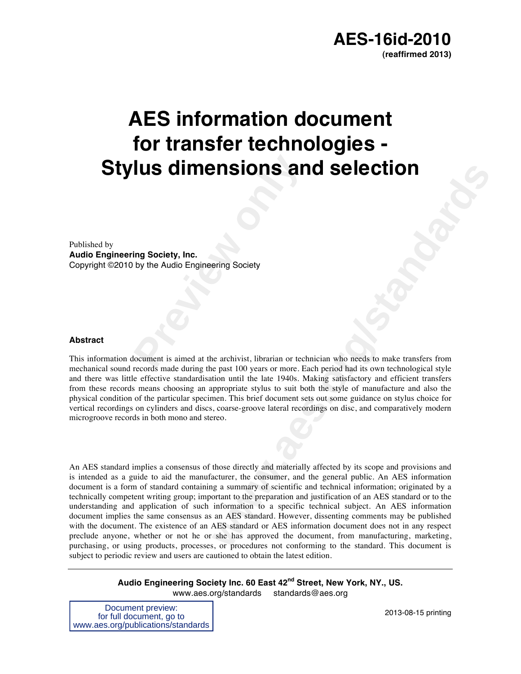

# **Property All COMPONS AM**<br> **Property, Inc.**<br>
by the Audio Engineering Society<br> **Property Accounts is aimed at the archivist, librarian or tech**<br> **Property Accounts is aimed at the archivist, librarian or tech AES information document for transfer technologies - Stylus dimensions and selection**

Published by **Audio Engineering Society, Inc.** Copyright ©2010 by the Audio Engineering Society

#### **Abstract**

This information document is aimed at the archivist, librarian or technician who needs to make transfers from mechanical sound records made during the past 100 years or more. Each period had its own technological style and there was little effective standardisation until the late 1940s. Making satisfactory and efficient transfers from these records means choosing an appropriate stylus to suit both the style of manufacture and also the physical condition of the particular specimen. This brief document sets out some guidance on stylus choice for vertical recordings on cylinders and discs, coarse-groove lateral recordings on disc, and comparatively modern microgroove records in both mono and stereo.

**EXECTION STAND SCREET SIMENTS AND SCREET SET AND SCREET AND SCREET AND SCREET AND VIEW TO USE SET AND SCREET AND SCREET AND SCREET AND SUPPORT AND SUPPORT AND SUPPORT AND SUPPORT AND SUPPORT AND SUPPORT AND SUPPORT AND SU** An AES standard implies a consensus of those directly and materially affected by its scope and provisions and is intended as a guide to aid the manufacturer, the consumer, and the general public. An AES information document is a form of standard containing a summary of scientific and technical information; originated by a technically competent writing group; important to the preparation and justification of an AES standard or to the understanding and application of such information to a specific technical subject. An AES information document implies the same consensus as an AES standard. However, dissenting comments may be published with the document. The existence of an AES standard or AES information document does not in any respect preclude anyone, whether or not he or she has approved the document, from manufacturing, marketing, purchasing, or using products, processes, or procedures not conforming to the standard. This document is subject to periodic review and users are cautioned to obtain the latest edition.

> **Audio Engineering Society Inc. 60 East 42nd Street, New York, NY., US.** www.aes.org/standards standards@aes.org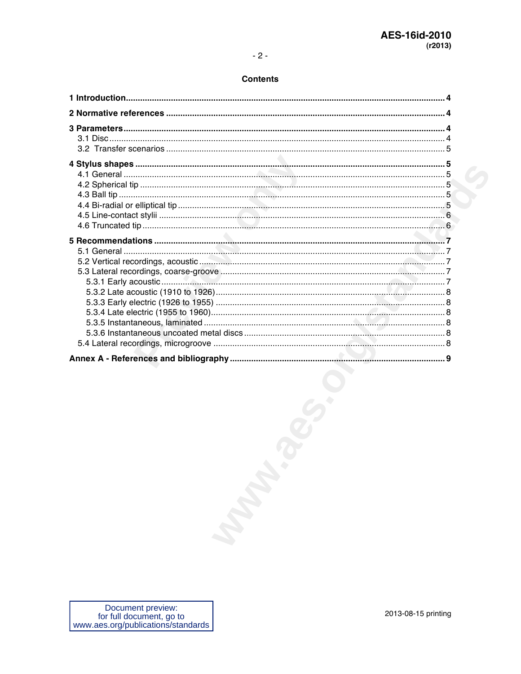### **Contents**

| Document preview: |  |
|-------------------|--|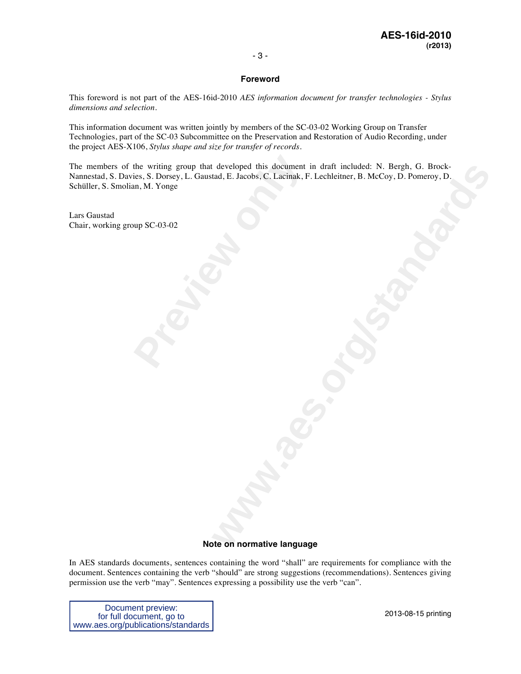### - 3 -

### **Foreword**

This foreword is not part of the AES-16id-2010 *AES information document for transfer technologies - Stylus dimensions and selection*.

This information document was written jointly by members of the SC-03-02 Working Group on Transfer Technologies, part of the SC-03 Subcommittee on the Preservation and Restoration of Audio Recording, under the project AES-X106, *Stylus shape and size for transfer of records*.

the writing group that developed this document<br>ies, S. Dorsey, L. Gaustad, E. Jacobs, C. Lacinak, F<br>in, M. Yonge<br>up SC-03-02 developed this document in draft included: N. Bergh, G. Brock<br>dtd, E. Jacobs, C. Lacimak, F. Lechleitner, B. McCoy, D. Pomeroy, D.<br>and the conflict of the control of the control of the control of the control of the control The members of the writing group that developed this document in draft included: N. Bergh, G. Brock-Nannestad, S. Davies, S. Dorsey, L. Gaustad, E. Jacobs, C. Lacinak, F. Lechleitner, B. McCoy, D. Pomeroy, D. Schüller, S. Smolian, M. Yonge

Lars Gaustad Chair, working group SC-03-02

### **Note on normative language**

In AES standards documents, sentences containing the word "shall" are requirements for compliance with the document. Sentences containing the verb "should" are strong suggestions (recommendations). Sentences giving permission use the verb "may". Sentences expressing a possibility use the verb "can".

Document preview: for full document, go to www.aes.org/publications/standards

2013-08-15 printing